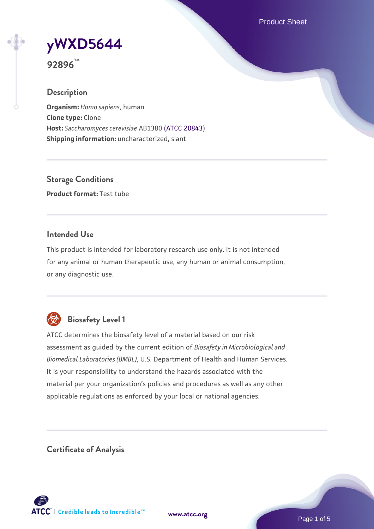Product Sheet

**[yWXD5644](https://www.atcc.org/products/92896)**

**92896™**

### **Description**

**Organism:** *Homo sapiens*, human **Clone type:** Clone **Host:** *Saccharomyces cerevisiae* AB1380 [\(ATCC 20843\)](https://www.atcc.org/products/20843) **Shipping information:** uncharacterized, slant

**Storage Conditions Product format:** Test tube

### **Intended Use**

This product is intended for laboratory research use only. It is not intended for any animal or human therapeutic use, any human or animal consumption, or any diagnostic use.



# **Biosafety Level 1**

ATCC determines the biosafety level of a material based on our risk assessment as guided by the current edition of *Biosafety in Microbiological and Biomedical Laboratories (BMBL)*, U.S. Department of Health and Human Services. It is your responsibility to understand the hazards associated with the material per your organization's policies and procedures as well as any other applicable regulations as enforced by your local or national agencies.

**Certificate of Analysis**

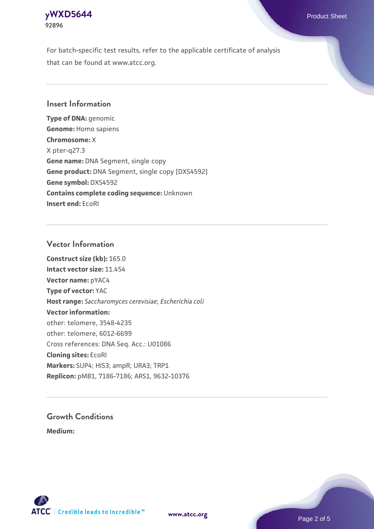### **[yWXD5644](https://www.atcc.org/products/92896)** Product Sheet **92896**

For batch-specific test results, refer to the applicable certificate of analysis that can be found at www.atcc.org.

### **Insert Information**

**Type of DNA:** genomic **Genome:** Homo sapiens **Chromosome:** X X pter-q27.3 **Gene name:** DNA Segment, single copy **Gene product:** DNA Segment, single copy [DXS4592] **Gene symbol:** DXS4592 **Contains complete coding sequence:** Unknown **Insert end:** EcoRI

#### **Vector Information**

**Construct size (kb):** 165.0 **Intact vector size:** 11.454 **Vector name:** pYAC4 **Type of vector:** YAC **Host range:** *Saccharomyces cerevisiae*; *Escherichia coli* **Vector information:** other: telomere, 3548-4235 other: telomere, 6012-6699 Cross references: DNA Seq. Acc.: U01086 **Cloning sites:** EcoRI **Markers:** SUP4; HIS3; ampR; URA3; TRP1 **Replicon:** pMB1, 7186-7186; ARS1, 9632-10376

# **Growth Conditions**

**Medium:** 



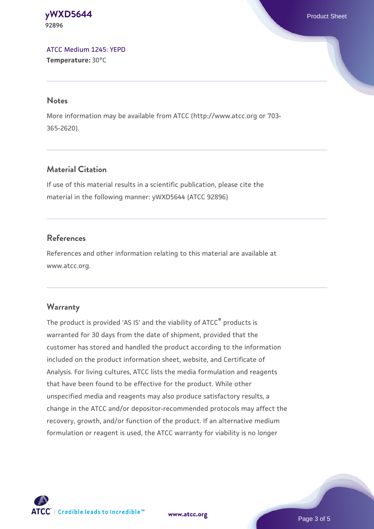#### **[yWXD5644](https://www.atcc.org/products/92896)** Product Sheet **92896**

[ATCC Medium 1245: YEPD](https://www.atcc.org/-/media/product-assets/documents/microbial-media-formulations/1/2/4/5/atcc-medium-1245.pdf?rev=705ca55d1b6f490a808a965d5c072196) **Temperature:** 30°C

#### **Notes**

More information may be available from ATCC (http://www.atcc.org or 703- 365-2620).

# **Material Citation**

If use of this material results in a scientific publication, please cite the material in the following manner: yWXD5644 (ATCC 92896)

# **References**

References and other information relating to this material are available at www.atcc.org.

# **Warranty**

The product is provided 'AS IS' and the viability of ATCC® products is warranted for 30 days from the date of shipment, provided that the customer has stored and handled the product according to the information included on the product information sheet, website, and Certificate of Analysis. For living cultures, ATCC lists the media formulation and reagents that have been found to be effective for the product. While other unspecified media and reagents may also produce satisfactory results, a change in the ATCC and/or depositor-recommended protocols may affect the recovery, growth, and/or function of the product. If an alternative medium formulation or reagent is used, the ATCC warranty for viability is no longer



**[www.atcc.org](http://www.atcc.org)**

Page 3 of 5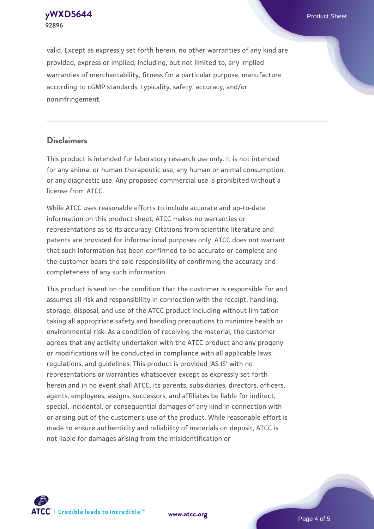**92896**

**[yWXD5644](https://www.atcc.org/products/92896)** Product Sheet

valid. Except as expressly set forth herein, no other warranties of any kind are provided, express or implied, including, but not limited to, any implied warranties of merchantability, fitness for a particular purpose, manufacture according to cGMP standards, typicality, safety, accuracy, and/or noninfringement.

#### **Disclaimers**

This product is intended for laboratory research use only. It is not intended for any animal or human therapeutic use, any human or animal consumption, or any diagnostic use. Any proposed commercial use is prohibited without a license from ATCC.

While ATCC uses reasonable efforts to include accurate and up-to-date information on this product sheet, ATCC makes no warranties or representations as to its accuracy. Citations from scientific literature and patents are provided for informational purposes only. ATCC does not warrant that such information has been confirmed to be accurate or complete and the customer bears the sole responsibility of confirming the accuracy and completeness of any such information.

This product is sent on the condition that the customer is responsible for and assumes all risk and responsibility in connection with the receipt, handling, storage, disposal, and use of the ATCC product including without limitation taking all appropriate safety and handling precautions to minimize health or environmental risk. As a condition of receiving the material, the customer agrees that any activity undertaken with the ATCC product and any progeny or modifications will be conducted in compliance with all applicable laws, regulations, and guidelines. This product is provided 'AS IS' with no representations or warranties whatsoever except as expressly set forth herein and in no event shall ATCC, its parents, subsidiaries, directors, officers, agents, employees, assigns, successors, and affiliates be liable for indirect, special, incidental, or consequential damages of any kind in connection with or arising out of the customer's use of the product. While reasonable effort is made to ensure authenticity and reliability of materials on deposit, ATCC is not liable for damages arising from the misidentification or



**[www.atcc.org](http://www.atcc.org)**

Page 4 of 5